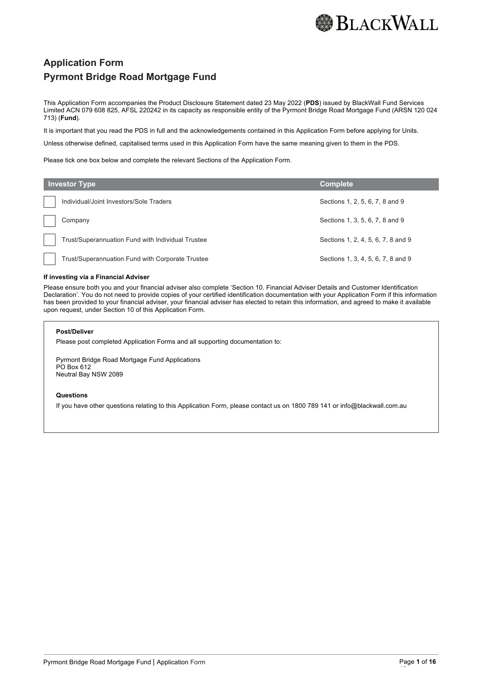

## **Application Form Pyrmont Bridge Road Mortgage Fund**

This Application Form accompanies the Product Disclosure Statement dated 23 May 2022 (**PDS**) issued by BlackWall Fund Services Limited ACN 079 608 825, AFSL 220242 in its capacity as responsible entity of the Pyrmont Bridge Road Mortgage Fund (ARSN 120 024 713) (**Fund**).

It is important that you read the PDS in full and the acknowledgements contained in this Application Form before applying for Units.

Unless otherwise defined, capitalised terms used in this Application Form have the same meaning given to them in the PDS.

Please tick one box below and complete the relevant Sections of the Application Form.

| <b>Investor Type</b>                              | <b>Complete</b>                    |
|---------------------------------------------------|------------------------------------|
| Individual/Joint Investors/Sole Traders           | Sections 1, 2, 5, 6, 7, 8 and 9    |
| Company                                           | Sections 1, 3, 5, 6, 7, 8 and 9    |
| Trust/Superannuation Fund with Individual Trustee | Sections 1, 2, 4, 5, 6, 7, 8 and 9 |
| Trust/Superannuation Fund with Corporate Trustee  | Sections 1, 3, 4, 5, 6, 7, 8 and 9 |

#### **If investing via a Financial Adviser**

Please ensure both you and your financial adviser also complete 'Section 10. Financial Adviser Details and Customer Identification Declaration'. You do not need to provide copies of your certified identification documentation with your Application Form if this information has been provided to your financial adviser, your financial adviser has elected to retain this information, and agreed to make it available upon request, under Section 10 of this Application Form.

#### **Post/Deliver**

Please post completed Application Forms and all supporting documentation to:

Pyrmont Bridge Road Mortgage Fund Applications PO Box 612 Neutral Bay NSW 2089

#### **Questions**

If you have other questions relating to this Application Form, please contact us on 1800 789 141 or info@blackwall.com.au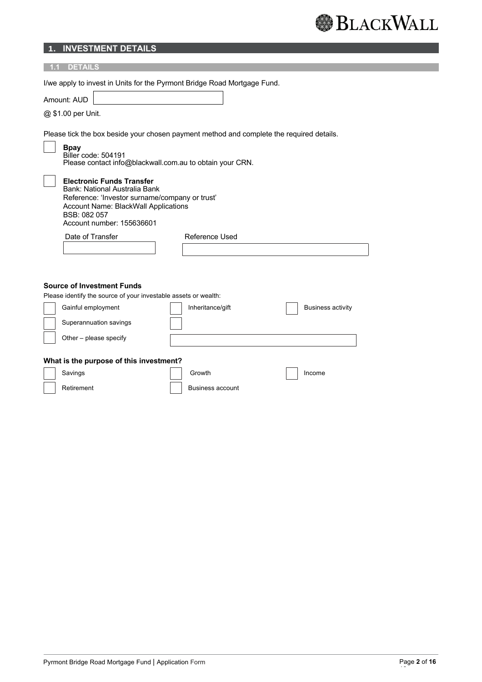## **1. INVESTMENT DETAILS**

| <b>DETAILS</b>                                                                                                                                                                                           |                         |                          |  |
|----------------------------------------------------------------------------------------------------------------------------------------------------------------------------------------------------------|-------------------------|--------------------------|--|
| I/we apply to invest in Units for the Pyrmont Bridge Road Mortgage Fund.<br>Amount: AUD<br>@ \$1.00 per Unit.                                                                                            |                         |                          |  |
| Please tick the box beside your chosen payment method and complete the required details.<br><b>Bpay</b><br>Biller code: 504191<br>Please contact info@blackwall.com.au to obtain your CRN.               |                         |                          |  |
| <b>Electronic Funds Transfer</b><br>Bank: National Australia Bank<br>Reference: 'Investor surname/company or trust'<br>Account Name: BlackWall Applications<br>BSB: 082 057<br>Account number: 155636601 |                         |                          |  |
| Date of Transfer                                                                                                                                                                                         | Reference Used          |                          |  |
|                                                                                                                                                                                                          |                         |                          |  |
| <b>Source of Investment Funds</b>                                                                                                                                                                        |                         |                          |  |
| Please identify the source of your investable assets or wealth:                                                                                                                                          |                         |                          |  |
| Gainful employment                                                                                                                                                                                       | Inheritance/gift        | <b>Business activity</b> |  |
| Superannuation savings                                                                                                                                                                                   |                         |                          |  |
| Other - please specify                                                                                                                                                                                   |                         |                          |  |
| What is the purpose of this investment?                                                                                                                                                                  |                         |                          |  |
| Savings                                                                                                                                                                                                  | Growth                  | Income                   |  |
| Retirement                                                                                                                                                                                               | <b>Business account</b> |                          |  |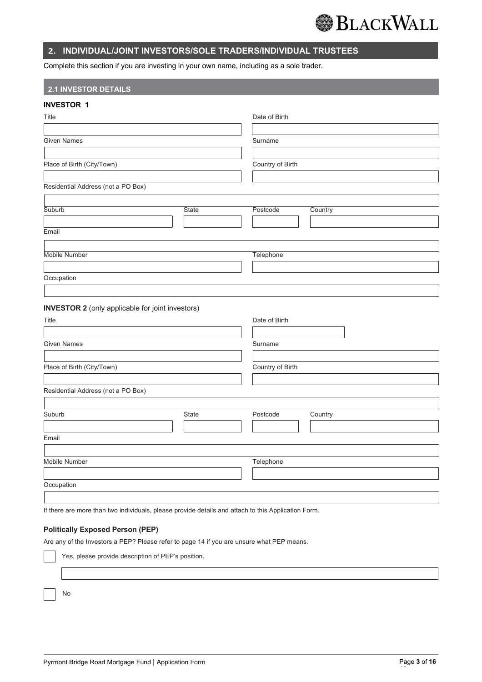

## **2. INDIVIDUAL/JOINT INVESTORS/SOLE TRADERS/INDIVIDUAL TRUSTEES**

Complete this section if you are investing in your own name, including as a sole trader.

## **2.1 INVESTOR DETAILS**

## **INVESTOR 1**

| Title                              |              | Date of Birth    |         |
|------------------------------------|--------------|------------------|---------|
| <b>Given Names</b>                 |              | Surname          |         |
| Place of Birth (City/Town)         |              | Country of Birth |         |
| Residential Address (not a PO Box) |              |                  |         |
| Suburb                             | <b>State</b> | Postcode         | Country |
| Email                              |              |                  |         |
| Mobile Number<br>Occupation        |              | Telephone        |         |
|                                    |              |                  |         |

**INVESTOR 2** (only applicable for joint investors)

| Title                              |       | Date of Birth       |
|------------------------------------|-------|---------------------|
| <b>Given Names</b>                 |       | Surname             |
| Place of Birth (City/Town)         |       | Country of Birth    |
| Residential Address (not a PO Box) |       |                     |
| Suburb                             | State | Postcode<br>Country |
| Email                              |       |                     |
| Mobile Number                      |       | Telephone           |
| Occupation                         |       |                     |
|                                    |       |                     |

If there are more than two individuals, please provide details and attach to this Application Form.

## **Politically Exposed Person (PEP)**

Are any of the Investors a PEP? Please refer to page 14 if you are unsure what PEP means.

Yes, please provide description of PEP's position.

No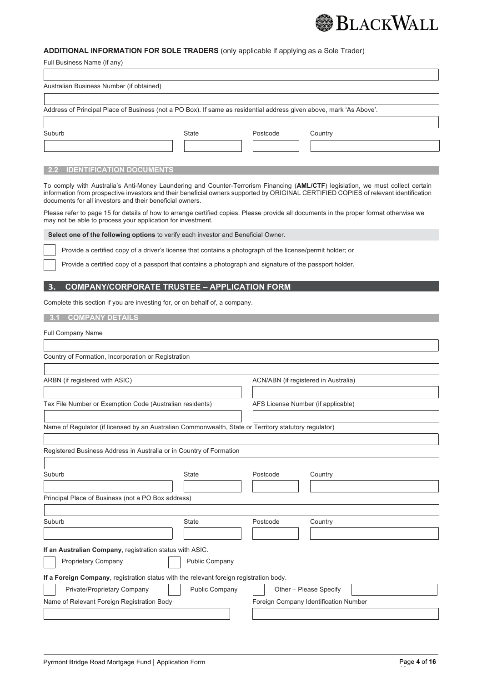

## **ADDITIONAL INFORMATION FOR SOLE TRADERS** (only applicable if applying as a Sole Trader)

| Full Business Name (if any)                                                                                                                                                                                                                                                                                                         |                       |                                      |                        |  |
|-------------------------------------------------------------------------------------------------------------------------------------------------------------------------------------------------------------------------------------------------------------------------------------------------------------------------------------|-----------------------|--------------------------------------|------------------------|--|
| Australian Business Number (if obtained)                                                                                                                                                                                                                                                                                            |                       |                                      |                        |  |
|                                                                                                                                                                                                                                                                                                                                     |                       |                                      |                        |  |
| Address of Principal Place of Business (not a PO Box). If same as residential address given above, mark 'As Above'.                                                                                                                                                                                                                 |                       |                                      |                        |  |
| Suburb                                                                                                                                                                                                                                                                                                                              | <b>State</b>          | Postcode                             | Country                |  |
|                                                                                                                                                                                                                                                                                                                                     |                       |                                      |                        |  |
| <b>IDENTIFICATION DOCUMENTS</b>                                                                                                                                                                                                                                                                                                     |                       |                                      |                        |  |
| To comply with Australia's Anti-Money Laundering and Counter-Terrorism Financing (AML/CTF) legislation, we must collect certain<br>information from prospective investors and their beneficial owners supported by ORIGINAL CERTIFIED COPIES of relevant identification<br>documents for all investors and their beneficial owners. |                       |                                      |                        |  |
| Please refer to page 15 for details of how to arrange certified copies. Please provide all documents in the proper format otherwise we<br>may not be able to process your application for investment.                                                                                                                               |                       |                                      |                        |  |
| Select one of the following options to verify each investor and Beneficial Owner.                                                                                                                                                                                                                                                   |                       |                                      |                        |  |
| Provide a certified copy of a driver's license that contains a photograph of the license/permit holder; or                                                                                                                                                                                                                          |                       |                                      |                        |  |
| Provide a certified copy of a passport that contains a photograph and signature of the passport holder.                                                                                                                                                                                                                             |                       |                                      |                        |  |
| <b>COMPANY/CORPORATE TRUSTEE - APPLICATION FORM</b>                                                                                                                                                                                                                                                                                 |                       |                                      |                        |  |
| Complete this section if you are investing for, or on behalf of, a company.                                                                                                                                                                                                                                                         |                       |                                      |                        |  |
| <b>COMPANY DETAILS</b>                                                                                                                                                                                                                                                                                                              |                       |                                      |                        |  |
| <b>Full Company Name</b>                                                                                                                                                                                                                                                                                                            |                       |                                      |                        |  |
|                                                                                                                                                                                                                                                                                                                                     |                       |                                      |                        |  |
| Country of Formation, Incorporation or Registration                                                                                                                                                                                                                                                                                 |                       |                                      |                        |  |
| ARBN (if registered with ASIC)                                                                                                                                                                                                                                                                                                      |                       | ACN/ABN (if registered in Australia) |                        |  |
|                                                                                                                                                                                                                                                                                                                                     |                       |                                      |                        |  |
| Tax File Number or Exemption Code (Australian residents)                                                                                                                                                                                                                                                                            |                       | AFS License Number (if applicable)   |                        |  |
| Name of Regulator (if licensed by an Australian Commonwealth, State or Territory statutory regulator)                                                                                                                                                                                                                               |                       |                                      |                        |  |
|                                                                                                                                                                                                                                                                                                                                     |                       |                                      |                        |  |
| Registered Business Address in Australia or in Country of Formation                                                                                                                                                                                                                                                                 |                       |                                      |                        |  |
| Suburb                                                                                                                                                                                                                                                                                                                              | <b>State</b>          | Postcode                             | Country                |  |
|                                                                                                                                                                                                                                                                                                                                     |                       |                                      |                        |  |
| Principal Place of Business (not a PO Box address)                                                                                                                                                                                                                                                                                  |                       |                                      |                        |  |
| Suburb                                                                                                                                                                                                                                                                                                                              | State                 | Postcode                             | Country                |  |
|                                                                                                                                                                                                                                                                                                                                     |                       |                                      |                        |  |
| If an Australian Company, registration status with ASIC.                                                                                                                                                                                                                                                                            |                       |                                      |                        |  |
| Proprietary Company                                                                                                                                                                                                                                                                                                                 | <b>Public Company</b> |                                      |                        |  |
| If a Foreign Company, registration status with the relevant foreign registration body.                                                                                                                                                                                                                                              |                       |                                      |                        |  |
| Private/Proprietary Company                                                                                                                                                                                                                                                                                                         | Public Company        |                                      | Other - Please Specify |  |

Name of Relevant Foreign Registration Body Foreign Company Identification Number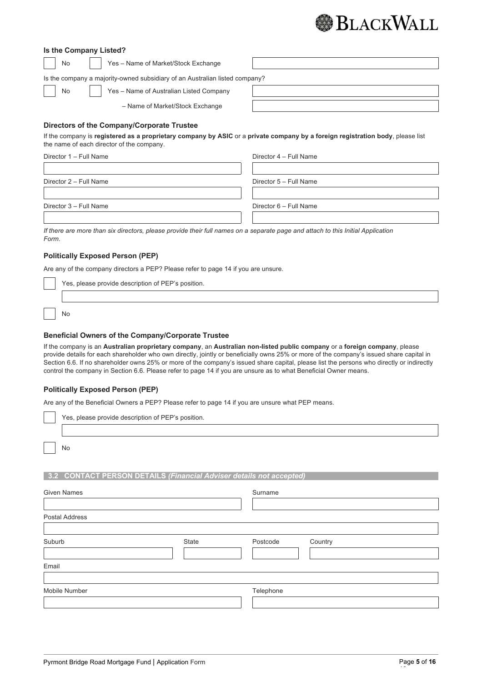

| Is the Company Listed? |  |
|------------------------|--|
|------------------------|--|

| No | Yes - Name of Market/Stock Exchange |
|----|-------------------------------------|
|    |                                     |

Is the company a majority-owned subsidiary of an Australian listed company?

| No | Yes - Name of Australian Listed Company |  |
|----|-----------------------------------------|--|
|    | - Name of Market/Stock Exchange         |  |

#### **Directors of the Company/Corporate Trustee**

If the company is **registered as a proprietary company by ASIC** or a **private company by a foreign registration body**, please list the name of each director of the company.

| Director 5 - Full Name |
|------------------------|
| Director 6 - Full Name |
|                        |

*If there are more than six directors, please provide their full names on a separate page and attach to this Initial Application Form.*

## **Politically Exposed Person (PEP)**

Are any of the company directors a PEP? Please refer to page 14 if you are unsure.

| Yes, please provide description of PEP's position. |  |  |  |  |
|----------------------------------------------------|--|--|--|--|
|                                                    |  |  |  |  |

No

### **Beneficial Owners of the Company/Corporate Trustee**

If the company is an **Australian proprietary company**, an **Australian non-listed public company** or a **foreign company**, please provide details for each shareholder who own directly, jointly or beneficially owns 25% or more of the company's issued share capital in Section 6.6. If no shareholder owns 25% or more of the company's issued share capital, please list the persons who directly or indirectly control the company in Section 6.6. Please refer to page 14 if you are unsure as to what Beneficial Owner means.

## **Politically Exposed Person (PEP)**

Are any of the Beneficial Owners a PEP? Please refer to page 14 if you are unsure what PEP means.

| Yes, please provide description of PEP's position. |  |  |  |  |  |  |
|----------------------------------------------------|--|--|--|--|--|--|
|                                                    |  |  |  |  |  |  |
| <b>No</b>                                          |  |  |  |  |  |  |

#### **3.2 CONTACT PERSON DETAILS** *(Financial Adviser details not accepted)*

| <b>Given Names</b>    |       | Surname   |         |  |
|-----------------------|-------|-----------|---------|--|
| <b>Postal Address</b> |       |           |         |  |
| Suburb                | State | Postcode  | Country |  |
| Email                 |       |           |         |  |
| Mobile Number         |       | Telephone |         |  |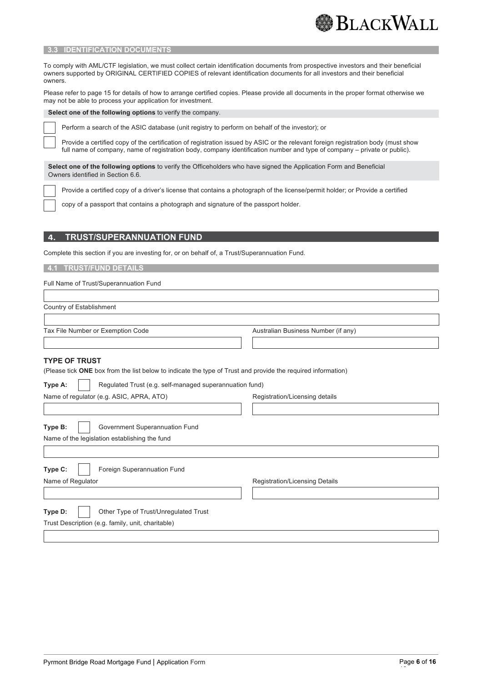

#### **3.3 IDENTIFICATION DOCUMENTS**

To comply with AML/CTF legislation, we must collect certain identification documents from prospective investors and their beneficial owners supported by ORIGINAL CERTIFIED COPIES of relevant identification documents for all investors and their beneficial owners.

Please refer to page 15 for details of how to arrange certified copies. Please provide all documents in the proper format otherwise we may not be able to process your application for investment.

**Select one of the following options** to verify the company.

Perform a search of the ASIC database (unit registry to perform on behalf of the investor); or

Provide a certified copy of the certification of registration issued by ASIC or the relevant foreign registration body (must show full name of company, name of registration body, company identification number and type of company – private or public).

**Select one of the following options** to verify the Officeholders who have signed the Application Form and Beneficial Owners identified in Section 6.6.

Provide a certified copy of a driver's license that contains a photograph of the license/permit holder; or Provide a certified

copy of a passport that contains a photograph and signature of the passport holder.

### **4. TRUST/SUPERANNUATION FUND**

Complete this section if you are investing for, or on behalf of, a Trust/Superannuation Fund.

 **4.1 TRUST/FUND DETAILS** 

Full Name of Trust/Superannuation Fund

Country of Establishment

Tax File Number or Exemption Code Australian Business Number (if any)

#### **TYPE OF TRUST**

(Please tick **ONE** box from the list below to indicate the type of Trust and provide the required information)

| Regulated Trust (e.g. self-managed superannuation fund)<br>Type A:         |                                       |  |  |  |
|----------------------------------------------------------------------------|---------------------------------------|--|--|--|
| Name of regulator (e.g. ASIC, APRA, ATO)<br>Registration/Licensing details |                                       |  |  |  |
|                                                                            |                                       |  |  |  |
| Type B:<br>Government Superannuation Fund                                  |                                       |  |  |  |
| Name of the legislation establishing the fund                              |                                       |  |  |  |
|                                                                            |                                       |  |  |  |
| Type C:<br>Foreign Superannuation Fund                                     |                                       |  |  |  |
| Name of Regulator                                                          | <b>Registration/Licensing Details</b> |  |  |  |
|                                                                            |                                       |  |  |  |
| Other Type of Trust/Unregulated Trust<br>Type D:                           |                                       |  |  |  |
| Trust Description (e.g. family, unit, charitable)                          |                                       |  |  |  |
|                                                                            |                                       |  |  |  |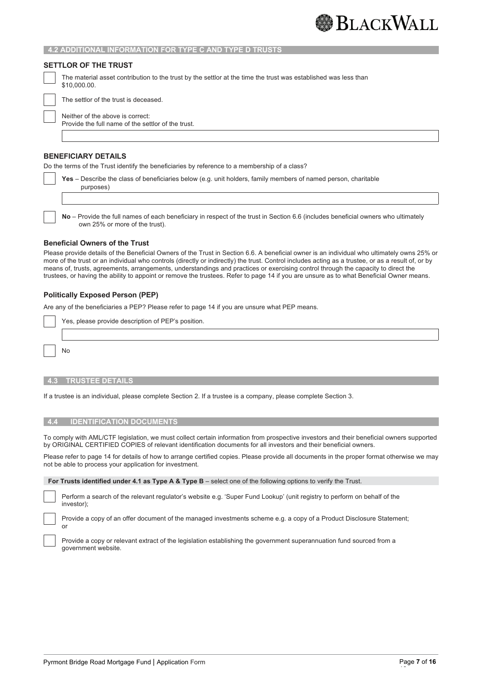#### **4.2 ADDITIONAL INFORMATION FOR TYPE C AND TYPE D TRUSTS**

#### **SETTLOR OF THE TRUST**

The material asset contribution to the trust by the settlor at the time the trust was established was less than \$10,000.00.

The settlor of the trust is deceased.

Neither of the above is correct: Provide the full name of the settlor of the trust.

### **BENEFICIARY DETAILS**

Do the terms of the Trust identify the beneficiaries by reference to a membership of a class?

| Yes - Describe the class of beneficiaries below (e.g. unit holders, family members of named person, charitable |
|----------------------------------------------------------------------------------------------------------------|
| purposes)                                                                                                      |
|                                                                                                                |

**No** – Provide the full names of each beneficiary in respect of the trust in Section 6.6 (includes beneficial owners who ultimately own 25% or more of the trust).

#### **Beneficial Owners of the Trust**

Please provide details of the Beneficial Owners of the Trust in Section 6.6. A beneficial owner is an individual who ultimately owns 25% or more of the trust or an individual who controls (directly or indirectly) the trust. Control includes acting as a trustee, or as a result of, or by means of, trusts, agreements, arrangements, understandings and practices or exercising control through the capacity to direct the trustees, or having the ability to appoint or remove the trustees. Refer to page 14 if you are unsure as to what Beneficial Owner means.

#### **Politically Exposed Person (PEP)**

Are any of the beneficiaries a PEP? Please refer to page 14 if you are unsure what PEP means.

Yes, please provide description of PEP's position.

No

#### **4.3 TRUSTEE DETAILS**

If a trustee is an individual, please complete Section 2. If a trustee is a company, please complete Section 3.

#### **4.4 IDENTIFICATION DOCUMENTS**

To comply with AML/CTF legislation, we must collect certain information from prospective investors and their beneficial owners supported by ORIGINAL CERTIFIED COPIES of relevant identification documents for all investors and their beneficial owners.

Please refer to page 14 for details of how to arrange certified copies. Please provide all documents in the proper format otherwise we may not be able to process your application for investment.

**For Trusts identified under 4.1 as Type A & Type B** – select one of the following options to verify the Trust.

Perform a search of the relevant regulator's website e.g. 'Super Fund Lookup' (unit registry to perform on behalf of the investor);

Provide a copy of an offer document of the managed investments scheme e.g. a copy of a Product Disclosure Statement; or

Provide a copy or relevant extract of the legislation establishing the government superannuation fund sourced from a government website.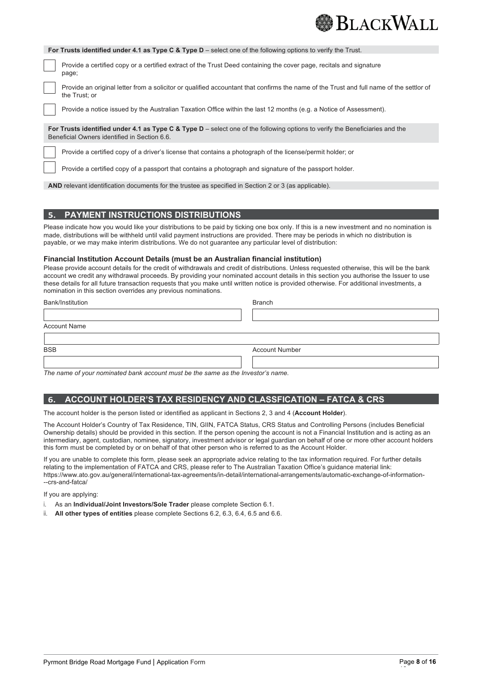

|                                                                                                                                                                                | For Trusts identified under 4.1 as Type C & Type $D$ – select one of the following options to verify the Trust.                                          |  |  |  |  |  |
|--------------------------------------------------------------------------------------------------------------------------------------------------------------------------------|----------------------------------------------------------------------------------------------------------------------------------------------------------|--|--|--|--|--|
|                                                                                                                                                                                | Provide a certified copy or a certified extract of the Trust Deed containing the cover page, recitals and signature<br>page;                             |  |  |  |  |  |
|                                                                                                                                                                                | Provide an original letter from a solicitor or qualified accountant that confirms the name of the Trust and full name of the settlor of<br>the Trust: or |  |  |  |  |  |
|                                                                                                                                                                                | Provide a notice issued by the Australian Taxation Office within the last 12 months (e.g. a Notice of Assessment).                                       |  |  |  |  |  |
| For Trusts identified under 4.1 as Type C & Type $D$ – select one of the following options to verify the Beneficiaries and the<br>Beneficial Owners identified in Section 6.6. |                                                                                                                                                          |  |  |  |  |  |
|                                                                                                                                                                                | Provide a certified copy of a driver's license that contains a photograph of the license/permit holder; or                                               |  |  |  |  |  |
|                                                                                                                                                                                | Provide a certified copy of a passport that contains a photograph and signature of the passport holder.                                                  |  |  |  |  |  |

**AND** relevant identification documents for the trustee as specified in Section 2 or 3 (as applicable).

## **5. PAYMENT INSTRUCTIONS DISTRIBUTIONS**

Please indicate how you would like your distributions to be paid by ticking one box only. If this is a new investment and no nomination is made, distributions will be withheld until valid payment instructions are provided. There may be periods in which no distribution is payable, or we may make interim distributions. We do not guarantee any particular level of distribution:

## **Financial Institution Account Details (must be an Australian financial institution)**

Please provide account details for the credit of withdrawals and credit of distributions. Unless requested otherwise, this will be the bank account we credit any withdrawal proceeds. By providing your nominated account details in this section you authorise the Issuer to use these details for all future transaction requests that you make until written notice is provided otherwise. For additional investments, a nomination in this section overrides any previous nominations.

| Bank/Institution    | <b>Branch</b>         |
|---------------------|-----------------------|
|                     |                       |
| <b>Account Name</b> |                       |
|                     |                       |
| <b>BSB</b>          | <b>Account Number</b> |
|                     |                       |

*The name of your nominated bank account must be the same as the Investor's name.*

## **6. ACCOUNT HOLDER'S TAX RESIDENCY AND CLASSFICATION – FATCA & CRS**

The account holder is the person listed or identified as applicant in Sections 2, 3 and 4 (**Account Holder**).

The Account Holder's Country of Tax Residence, TIN, GIIN, FATCA Status, CRS Status and Controlling Persons (includes Beneficial Ownership details) should be provided in this section. If the person opening the account is not a Financial Institution and is acting as an intermediary, agent, custodian, nominee, signatory, investment advisor or legal guardian on behalf of one or more other account holders this form must be completed by or on behalf of that other person who is referred to as the Account Holder.

If you are unable to complete this form, please seek an appropriate advice relating to the tax information required. For further details relating to the implementation of FATCA and CRS, please refer to The Australian Taxation Office's guidance material link: https://www.ato.gov.au/general/international-tax-agreements/in-detail/international-arrangements/automatic-exchange-of-information- --crs-and-fatca/

If you are applying:

- i. As an **Individual/Joint Investors/Sole Trader** please complete Section 6.1.
- ii. **All other types of entities** please complete Sections 6.2, 6.3, 6.4, 6.5 and 6.6.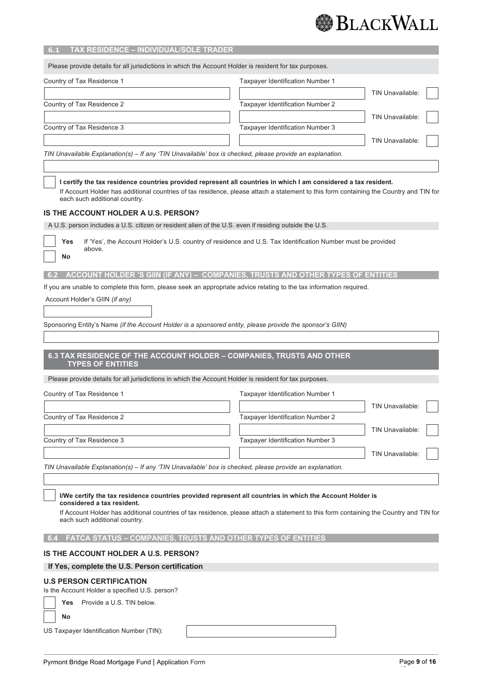

| TAX RESIDENCE - INDIVIDUAL/SOLE TRADER<br>6.1                                                                                                                                                                                                                                                                                                                                                                                               |                                                                                                              |                         |  |  |  |  |
|---------------------------------------------------------------------------------------------------------------------------------------------------------------------------------------------------------------------------------------------------------------------------------------------------------------------------------------------------------------------------------------------------------------------------------------------|--------------------------------------------------------------------------------------------------------------|-------------------------|--|--|--|--|
| Please provide details for all jurisdictions in which the Account Holder is resident for tax purposes.                                                                                                                                                                                                                                                                                                                                      |                                                                                                              |                         |  |  |  |  |
| Country of Tax Residence 1                                                                                                                                                                                                                                                                                                                                                                                                                  | Taxpayer Identification Number 1                                                                             |                         |  |  |  |  |
|                                                                                                                                                                                                                                                                                                                                                                                                                                             |                                                                                                              | TIN Unavailable:        |  |  |  |  |
| Country of Tax Residence 2                                                                                                                                                                                                                                                                                                                                                                                                                  | Taxpayer Identification Number 2                                                                             |                         |  |  |  |  |
|                                                                                                                                                                                                                                                                                                                                                                                                                                             |                                                                                                              | <b>TIN Unavailable:</b> |  |  |  |  |
| Country of Tax Residence 3                                                                                                                                                                                                                                                                                                                                                                                                                  | Taxpayer Identification Number 3                                                                             |                         |  |  |  |  |
|                                                                                                                                                                                                                                                                                                                                                                                                                                             |                                                                                                              | TIN Unavailable:        |  |  |  |  |
| TIN Unavailable Explanation(s) – If any 'TIN Unavailable' box is checked, please provide an explanation.                                                                                                                                                                                                                                                                                                                                    |                                                                                                              |                         |  |  |  |  |
| I certify the tax residence countries provided represent all countries in which I am considered a tax resident.<br>If Account Holder has additional countries of tax residence, please attach a statement to this form containing the Country and TIN for<br>each such additional country.<br>IS THE ACCOUNT HOLDER A U.S. PERSON?<br>A U.S. person includes a U.S. citizen or resident alien of the U.S. even if residing outside the U.S. |                                                                                                              |                         |  |  |  |  |
| Yes<br>above.<br>No                                                                                                                                                                                                                                                                                                                                                                                                                         | If 'Yes', the Account Holder's U.S. country of residence and U.S. Tax Identification Number must be provided |                         |  |  |  |  |
| ACCOUNT HOLDER 'S GIIN (IF ANY) - COMPANIES, TRUSTS AND OTHER TYPES OF ENTITIES<br>6.2                                                                                                                                                                                                                                                                                                                                                      |                                                                                                              |                         |  |  |  |  |
| If you are unable to complete this form, please seek an appropriate advice relating to the tax information required.                                                                                                                                                                                                                                                                                                                        |                                                                                                              |                         |  |  |  |  |
| Account Holder's GIIN (if any)                                                                                                                                                                                                                                                                                                                                                                                                              |                                                                                                              |                         |  |  |  |  |
|                                                                                                                                                                                                                                                                                                                                                                                                                                             |                                                                                                              |                         |  |  |  |  |
| Sponsoring Entity's Name (if the Account Holder is a sponsored entity, please provide the sponsor's GIIN)                                                                                                                                                                                                                                                                                                                                   |                                                                                                              |                         |  |  |  |  |
|                                                                                                                                                                                                                                                                                                                                                                                                                                             |                                                                                                              |                         |  |  |  |  |
| 6.3 TAX RESIDENCE OF THE ACCOUNT HOLDER - COMPANIES, TRUSTS AND OTHER<br><b>TYPES OF ENTITIES</b>                                                                                                                                                                                                                                                                                                                                           |                                                                                                              |                         |  |  |  |  |
| Please provide details for all jurisdictions in which the Account Holder is resident for tax purposes.                                                                                                                                                                                                                                                                                                                                      |                                                                                                              |                         |  |  |  |  |
| Country of Tax Residence 1                                                                                                                                                                                                                                                                                                                                                                                                                  | Taxpayer Identification Number 1                                                                             |                         |  |  |  |  |
|                                                                                                                                                                                                                                                                                                                                                                                                                                             |                                                                                                              | TIN Unavailable:        |  |  |  |  |
| Country of Tax Residence 2                                                                                                                                                                                                                                                                                                                                                                                                                  | Taxpayer Identification Number 2                                                                             |                         |  |  |  |  |
|                                                                                                                                                                                                                                                                                                                                                                                                                                             |                                                                                                              | TIN Unavailable:        |  |  |  |  |
| Country of Tax Residence 3                                                                                                                                                                                                                                                                                                                                                                                                                  | Taxpayer Identification Number 3                                                                             |                         |  |  |  |  |
|                                                                                                                                                                                                                                                                                                                                                                                                                                             |                                                                                                              | TIN Unavailable:        |  |  |  |  |
| TIN Unavailable Explanation(s) - If any 'TIN Unavailable' box is checked, please provide an explanation.                                                                                                                                                                                                                                                                                                                                    |                                                                                                              |                         |  |  |  |  |
| I/We certify the tax residence countries provided represent all countries in which the Account Holder is                                                                                                                                                                                                                                                                                                                                    |                                                                                                              |                         |  |  |  |  |
| considered a tax resident.<br>If Account Holder has additional countries of tax residence, please attach a statement to this form containing the Country and TIN for<br>each such additional country.                                                                                                                                                                                                                                       |                                                                                                              |                         |  |  |  |  |
| FATCA STATUS - COMPANIES, TRUSTS AND OTHER TYPES OF ENTITIES<br>6.4                                                                                                                                                                                                                                                                                                                                                                         |                                                                                                              |                         |  |  |  |  |
| IS THE ACCOUNT HOLDER A U.S. PERSON?                                                                                                                                                                                                                                                                                                                                                                                                        |                                                                                                              |                         |  |  |  |  |
| If Yes, complete the U.S. Person certification                                                                                                                                                                                                                                                                                                                                                                                              |                                                                                                              |                         |  |  |  |  |
| <b>U.S PERSON CERTIFICATION</b><br>Is the Account Holder a specified U.S. person?                                                                                                                                                                                                                                                                                                                                                           |                                                                                                              |                         |  |  |  |  |
| Provide a U.S. TIN below.<br>Yes                                                                                                                                                                                                                                                                                                                                                                                                            |                                                                                                              |                         |  |  |  |  |
| No                                                                                                                                                                                                                                                                                                                                                                                                                                          |                                                                                                              |                         |  |  |  |  |
| US Taxpayer Identification Number (TIN):                                                                                                                                                                                                                                                                                                                                                                                                    |                                                                                                              |                         |  |  |  |  |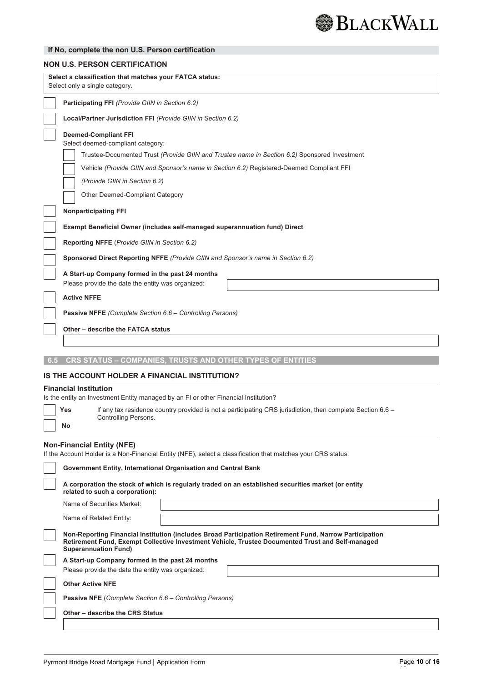

## **If No, complete the non U.S. Person certification**

|     | <b>NON U.S. PERSON CERTIFICATION</b>                                                                                                                                                                                                                                                                                             |  |  |  |  |  |
|-----|----------------------------------------------------------------------------------------------------------------------------------------------------------------------------------------------------------------------------------------------------------------------------------------------------------------------------------|--|--|--|--|--|
|     | Select a classification that matches your FATCA status:<br>Select only a single category.                                                                                                                                                                                                                                        |  |  |  |  |  |
|     | Participating FFI (Provide GIIN in Section 6.2)                                                                                                                                                                                                                                                                                  |  |  |  |  |  |
|     | Local/Partner Jurisdiction FFI (Provide GIIN in Section 6.2)                                                                                                                                                                                                                                                                     |  |  |  |  |  |
|     | <b>Deemed-Compliant FFI</b><br>Select deemed-compliant category:<br>Trustee-Documented Trust (Provide GIIN and Trustee name in Section 6.2) Sponsored Investment<br>Vehicle (Provide GIIN and Sponsor's name in Section 6.2) Registered-Deemed Compliant FFI<br>(Provide GIIN in Section 6.2)<br>Other Deemed-Compliant Category |  |  |  |  |  |
|     | <b>Nonparticipating FFI</b>                                                                                                                                                                                                                                                                                                      |  |  |  |  |  |
|     | <b>Exempt Beneficial Owner (includes self-managed superannuation fund) Direct</b>                                                                                                                                                                                                                                                |  |  |  |  |  |
|     | Reporting NFFE (Provide GIIN in Section 6.2)                                                                                                                                                                                                                                                                                     |  |  |  |  |  |
|     | Sponsored Direct Reporting NFFE (Provide GIIN and Sponsor's name in Section 6.2)                                                                                                                                                                                                                                                 |  |  |  |  |  |
|     | A Start-up Company formed in the past 24 months<br>Please provide the date the entity was organized:                                                                                                                                                                                                                             |  |  |  |  |  |
|     | <b>Active NFFE</b>                                                                                                                                                                                                                                                                                                               |  |  |  |  |  |
|     | Passive NFFE (Complete Section 6.6 - Controlling Persons)                                                                                                                                                                                                                                                                        |  |  |  |  |  |
|     | Other - describe the FATCA status                                                                                                                                                                                                                                                                                                |  |  |  |  |  |
|     |                                                                                                                                                                                                                                                                                                                                  |  |  |  |  |  |
| 6.5 | CRS STATUS - COMPANIES, TRUSTS AND OTHER TYPES OF ENTITIES                                                                                                                                                                                                                                                                       |  |  |  |  |  |
|     | IS THE ACCOUNT HOLDER A FINANCIAL INSTITUTION?                                                                                                                                                                                                                                                                                   |  |  |  |  |  |
|     | <b>Financial Institution</b>                                                                                                                                                                                                                                                                                                     |  |  |  |  |  |
|     | Is the entity an Investment Entity managed by an FI or other Financial Institution?                                                                                                                                                                                                                                              |  |  |  |  |  |
|     | If any tax residence country provided is not a participating CRS jurisdiction, then complete Section 6.6 -<br>Yes<br>Controlling Persons.<br>No                                                                                                                                                                                  |  |  |  |  |  |
|     | <b>Non-Financial Entity (NFE)</b><br>If the Account Holder is a Non-Financial Entity (NFE), select a classification that matches your CRS status:                                                                                                                                                                                |  |  |  |  |  |
|     | Government Entity, International Organisation and Central Bank                                                                                                                                                                                                                                                                   |  |  |  |  |  |
|     | A corporation the stock of which is regularly traded on an established securities market (or entity<br>related to such a corporation):                                                                                                                                                                                           |  |  |  |  |  |
|     | Name of Securities Market:                                                                                                                                                                                                                                                                                                       |  |  |  |  |  |
|     | Name of Related Entity:                                                                                                                                                                                                                                                                                                          |  |  |  |  |  |
|     | Non-Reporting Financial Institution (includes Broad Participation Retirement Fund, Narrow Participation<br>Retirement Fund, Exempt Collective Investment Vehicle, Trustee Documented Trust and Self-managed<br><b>Superannuation Fund)</b>                                                                                       |  |  |  |  |  |
|     | A Start-up Company formed in the past 24 months                                                                                                                                                                                                                                                                                  |  |  |  |  |  |
|     | Please provide the date the entity was organized:                                                                                                                                                                                                                                                                                |  |  |  |  |  |
|     | <b>Other Active NFE</b>                                                                                                                                                                                                                                                                                                          |  |  |  |  |  |
|     | <b>Passive NFE</b> (Complete Section 6.6 – Controlling Persons)                                                                                                                                                                                                                                                                  |  |  |  |  |  |
|     | Other - describe the CRS Status                                                                                                                                                                                                                                                                                                  |  |  |  |  |  |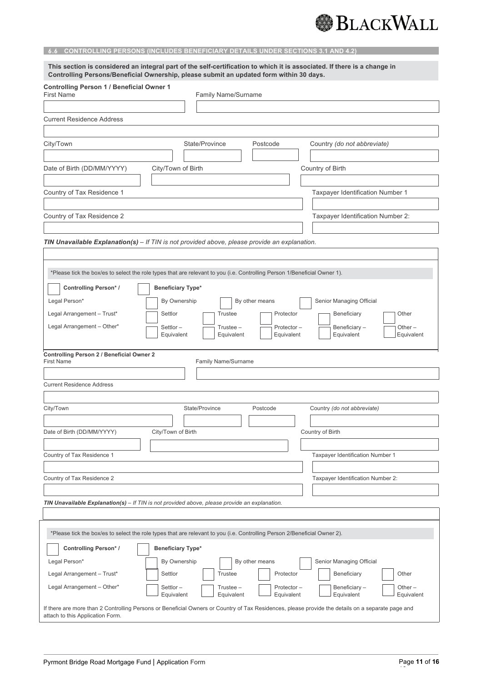## **6.6 CONTROLLING PERSONS (INCLUDES BENEFICIARY DETAILS UNDER SECTIONS 3.1 AND 4.2)**

| This section is considered an integral part of the self-certification to which it is associated. If there is a change in<br>Controlling Persons/Beneficial Ownership, please submit an updated form within 30 days.        |                          |                           |                          |                                                                                                                                                   |  |  |
|----------------------------------------------------------------------------------------------------------------------------------------------------------------------------------------------------------------------------|--------------------------|---------------------------|--------------------------|---------------------------------------------------------------------------------------------------------------------------------------------------|--|--|
| <b>Controlling Person 1 / Beneficial Owner 1</b><br><b>First Name</b><br>Family Name/Surname                                                                                                                               |                          |                           |                          |                                                                                                                                                   |  |  |
|                                                                                                                                                                                                                            |                          |                           |                          |                                                                                                                                                   |  |  |
| <b>Current Residence Address</b>                                                                                                                                                                                           |                          |                           |                          |                                                                                                                                                   |  |  |
| City/Town                                                                                                                                                                                                                  |                          | State/Province            | Postcode                 | Country (do not abbreviate)                                                                                                                       |  |  |
|                                                                                                                                                                                                                            |                          |                           |                          |                                                                                                                                                   |  |  |
| Date of Birth (DD/MM/YYYY)                                                                                                                                                                                                 | Country of Birth         |                           |                          |                                                                                                                                                   |  |  |
| Country of Tax Residence 1                                                                                                                                                                                                 |                          |                           |                          | Taxpayer Identification Number 1                                                                                                                  |  |  |
| Country of Tax Residence 2                                                                                                                                                                                                 |                          |                           |                          | Taxpayer Identification Number 2:                                                                                                                 |  |  |
|                                                                                                                                                                                                                            |                          |                           |                          |                                                                                                                                                   |  |  |
| TIN Unavailable Explanation(s) - If TIN is not provided above, please provide an explanation.<br>*Please tick the box/es to select the role types that are relevant to you (i.e. Controlling Person 1/Beneficial Owner 1). |                          |                           |                          |                                                                                                                                                   |  |  |
| <b>Controlling Person*/</b>                                                                                                                                                                                                | <b>Beneficiary Type*</b> |                           |                          |                                                                                                                                                   |  |  |
| Legal Person*                                                                                                                                                                                                              | By Ownership             |                           | By other means           | Senior Managing Official                                                                                                                          |  |  |
| Legal Arrangement - Trust*                                                                                                                                                                                                 | Settlor                  | <b>Trustee</b>            | Protector                | Beneficiary<br>Other                                                                                                                              |  |  |
| Legal Arrangement - Other*                                                                                                                                                                                                 | Settlor-<br>Equivalent   | $Trustee -$<br>Equivalent | Protector-<br>Equivalent | Beneficiary-<br>Other $-$<br>Equivalent<br>Equivalent                                                                                             |  |  |
| <b>Controlling Person 2 / Beneficial Owner 2</b><br><b>First Name</b><br>Family Name/Surname<br><b>Current Residence Address</b>                                                                                           |                          |                           |                          |                                                                                                                                                   |  |  |
| City/Town                                                                                                                                                                                                                  |                          | State/Province            | Postcode                 | Country (do not abbreviate)                                                                                                                       |  |  |
|                                                                                                                                                                                                                            |                          |                           |                          |                                                                                                                                                   |  |  |
| Date of Birth (DD/MM/YYYY)                                                                                                                                                                                                 | City/Town of Birth       |                           |                          | Country of Birth                                                                                                                                  |  |  |
| Country of Tax Residence 1                                                                                                                                                                                                 |                          |                           |                          | Taxpayer Identification Number 1                                                                                                                  |  |  |
|                                                                                                                                                                                                                            |                          |                           |                          |                                                                                                                                                   |  |  |
| Country of Tax Residence 2                                                                                                                                                                                                 |                          |                           |                          | Taxpayer Identification Number 2:                                                                                                                 |  |  |
| TIN Unavailable Explanation(s) - If TIN is not provided above, please provide an explanation.                                                                                                                              |                          |                           |                          |                                                                                                                                                   |  |  |
| *Please tick the box/es to select the role types that are relevant to you (i.e. Controlling Person 2/Beneficial Owner 2).                                                                                                  |                          |                           |                          |                                                                                                                                                   |  |  |
| <b>Controlling Person*/</b>                                                                                                                                                                                                | Beneficiary Type*        |                           |                          |                                                                                                                                                   |  |  |
| Legal Person*                                                                                                                                                                                                              | By Ownership             |                           | By other means           | Senior Managing Official                                                                                                                          |  |  |
| Legal Arrangement - Trust*                                                                                                                                                                                                 | Settlor                  | <b>Trustee</b>            | Protector                | Beneficiary<br>Other                                                                                                                              |  |  |
| Legal Arrangement - Other*                                                                                                                                                                                                 | Settlor-<br>Equivalent   | Trustee –<br>Equivalent   | Protector-<br>Equivalent | Beneficiary-<br>Other $-$<br>Equivalent<br>Equivalent                                                                                             |  |  |
| attach to this Application Form.                                                                                                                                                                                           |                          |                           |                          | If there are more than 2 Controlling Persons or Beneficial Owners or Country of Tax Residences, please provide the details on a separate page and |  |  |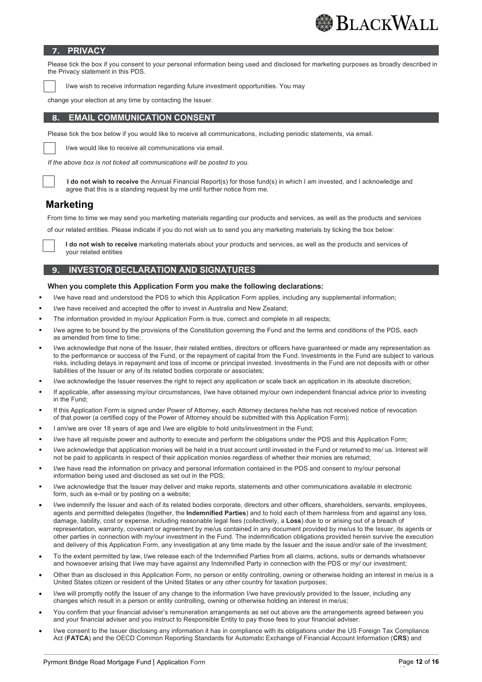## **7. PRIVACY**

Please tick the box if you consent to your personal information being used and disclosed for marketing purposes as broadly described in the Privacy statement in this PDS.

I/we wish to receive information regarding future investment opportunities. You may

change your election at any time by contacting the Issuer.

## **8. EMAIL COMMUNICATION CONSENT**

Please tick the box below if you would like to receive all communications, including periodic statements, via email.

I/we would like to receive all communications via email.

*If the above box is not ticked all communications will be posted to you.*



**I do not wish to receive** the Annual Financial Report(s) for those fund(s) in which I am invested, and I acknowledge and agree that this is a standing request by me until further notice from me.

## **Marketing**

From time to time we may send you marketing materials regarding our products and services, as well as the products and services

of our related entities. Please indicate if you do not wish us to send you any marketing materials by ticking the box below:

**I do not wish to receive** marketing materials about your products and services, as well as the products and services of your related entities

## **9. INVESTOR DECLARATION AND SIGNATURES**

### **When you complete this Application Form you make the following declarations:**

- I/we have read and understood the PDS to which this Application Form applies, including any supplemental information;
- I/we have received and accepted the offer to invest in Australia and New Zealand;
- The information provided in my/our Application Form is true, correct and complete in all respects;
- I/we agree to be bound by the provisions of the Constitution governing the Fund and the terms and conditions of the PDS, each as amended from time to time;
- I/we acknowledge that none of the Issuer, their related entities, directors or officers have guaranteed or made any representation as to the performance or success of the Fund, or the repayment of capital from the Fund. Investments in the Fund are subject to various risks, including delays in repayment and loss of income or principal invested. Investments in the Fund are not deposits with or other liabilities of the Issuer or any of its related bodies corporate or associates;
- I/we acknowledge the Issuer reserves the right to reject any application or scale back an application in its absolute discretion;
- If applicable, after assessing my/our circumstances. I/we have obtained my/our own independent financial advice prior to investing in the Fund;
- If this Application Form is signed under Power of Attorney, each Attorney declares he/she has not received notice of revocation of that power (a certified copy of the Power of Attorney should be submitted with this Application Form);
- I am/we are over 18 years of age and I/we are eligible to hold units/investment in the Fund;
- I/we have all requisite power and authority to execute and perform the obligations under the PDS and this Application Form;
- I/we acknowledge that application monies will be held in a trust account until invested in the Fund or returned to me/ us. Interest will not be paid to applicants in respect of their application monies regardless of whether their monies are returned;
- I/we have read the information on privacy and personal information contained in the PDS and consent to my/our personal information being used and disclosed as set out in the PDS;
- I/we acknowledge that the Issuer may deliver and make reports, statements and other communications available in electronic form, such as e-mail or by posting on a website;
- I/we indemnify the Issuer and each of its related bodies corporate, directors and other officers, shareholders, servants, employees, agents and permitted delegates (together, the **Indemnified Parties**) and to hold each of them harmless from and against any loss, damage, liability, cost or expense, including reasonable legal fees (collectively, a **Loss**) due to or arising out of a breach of representation, warranty, covenant or agreement by me/us contained in any document provided by me/us to the Issuer, its agents or other parties in connection with my/our investment in the Fund. The indemnification obligations provided herein survive the execution and delivery of this Application Form, any investigation at any time made by the Issuer and the issue and/or sale of the investment;
- To the extent permitted by law, I/we release each of the Indemnified Parties from all claims, actions, suits or demands whatsoever and howsoever arising that I/we may have against any Indemnified Party in connection with the PDS or my/ our investment;
- Other than as disclosed in this Application Form, no person or entity controlling, owning or otherwise holding an interest in me/us is a United States citizen or resident of the United States or any other country for taxation purposes;
- I/we will promptly notify the Issuer of any change to the information I/we have previously provided to the Issuer, including any changes which result in a person or entity controlling, owning or otherwise holding an interest in me/us;
- You confirm that your financial adviser's remuneration arrangements as set out above are the arrangements agreed between you and your financial adviser and you instruct to Responsible Entity to pay those fees to your financial adviser.
- I/we consent to the Issuer disclosing any information it has in compliance with its obligations under the US Foreign Tax Compliance Act (**FATCA**) and the OECD Common Reporting Standards for Automatic Exchange of Financial Account Information (**CRS**) and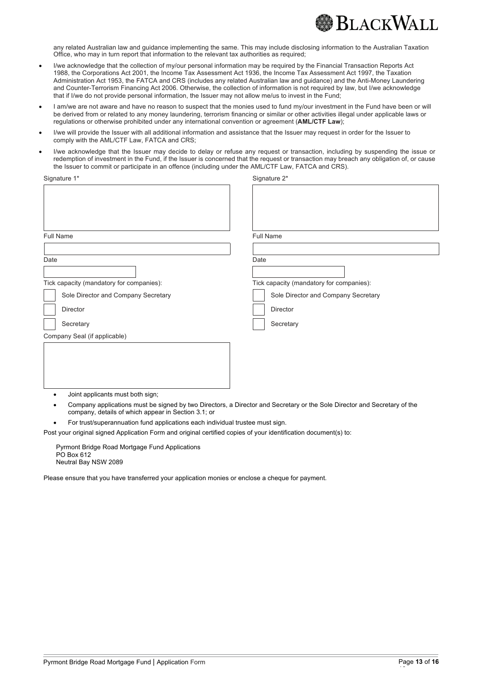

any related Australian law and guidance implementing the same. This may include disclosing information to the Australian Taxation Office, who may in turn report that information to the relevant tax authorities as required;

- I/we acknowledge that the collection of my/our personal information may be required by the Financial Transaction Reports Act 1988, the Corporations Act 2001, the Income Tax Assessment Act 1936, the Income Tax Assessment Act 1997, the Taxation Administration Act 1953, the FATCA and CRS (includes any related Australian law and guidance) and the Anti-Money Laundering and Counter-Terrorism Financing Act 2006. Otherwise, the collection of information is not required by law, but I/we acknowledge that if I/we do not provide personal information, the Issuer may not allow me/us to invest in the Fund;
- I am/we are not aware and have no reason to suspect that the monies used to fund my/our investment in the Fund have been or will be derived from or related to any money laundering, terrorism financing or similar or other activities illegal under applicable laws or regulations or otherwise prohibited under any international convention or agreement (**AML/CTF Law**);
- I/we will provide the Issuer with all additional information and assistance that the Issuer may request in order for the Issuer to comply with the AML/CTF Law, FATCA and CRS;
- I/we acknowledge that the Issuer may decide to delay or refuse any request or transaction, including by suspending the issue or redemption of investment in the Fund, if the Issuer is concerned that the request or transaction may breach any obligation of, or cause the Issuer to commit or participate in an offence (including under the AML/CTF Law, FATCA and CRS).

| Signature 1*                                        | Signature 2*                                                                                                             |
|-----------------------------------------------------|--------------------------------------------------------------------------------------------------------------------------|
|                                                     |                                                                                                                          |
|                                                     |                                                                                                                          |
| <b>Full Name</b>                                    | <b>Full Name</b>                                                                                                         |
| Date                                                | Date                                                                                                                     |
| Tick capacity (mandatory for companies):            | Tick capacity (mandatory for companies):                                                                                 |
| Sole Director and Company Secretary                 | Sole Director and Company Secretary                                                                                      |
| <b>Director</b>                                     | <b>Director</b>                                                                                                          |
| Secretary                                           | Secretary                                                                                                                |
| Company Seal (if applicable)                        |                                                                                                                          |
|                                                     |                                                                                                                          |
|                                                     |                                                                                                                          |
|                                                     |                                                                                                                          |
| Joint applicants must both sign;                    |                                                                                                                          |
| company, details of which appear in Section 3.1; or | Company applications must be signed by two Directors, a Director and Secretary or the Sole Director and Secretary of the |

• For trust/superannuation fund applications each individual trustee must sign.

Post your original signed Application Form and original certified copies of your identification document(s) to:

Pyrmont Bridge Road Mortgage Fund Applications PO Box 612 Neutral Bay NSW 2089

Please ensure that you have transferred your application monies or enclose a cheque for payment.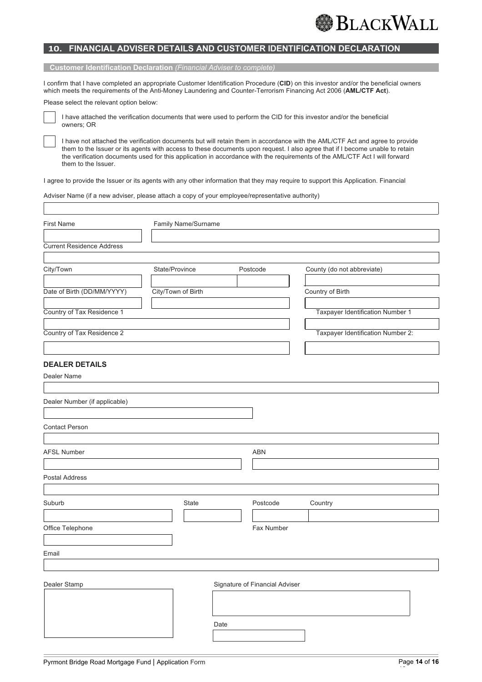## **10. FINANCIAL ADVISER DETAILS AND CUSTOMER IDENTIFICATION DECLARATION**

#### **Customer Identification Declaration** *(Financial Adviser to complete)*

I confirm that I have completed an appropriate Customer Identification Procedure (**CID**) on this investor and/or the beneficial owners which meets the requirements of the Anti-Money Laundering and Counter-Terrorism Financing Act 2006 (**AML/CTF Act**).

Please select the relevant option below:



I have attached the verification documents that were used to perform the CID for this investor and/or the beneficial owners; OR

I have not attached the verification documents but will retain them in accordance with the AML/CTF Act and agree to provide them to the Issuer or its agents with access to these documents upon request. I also agree that if I become unable to retain the verification documents used for this application in accordance with the requirements of the AML/CTF Act I will forward them to the Issuer.

I agree to provide the Issuer or its agents with any other information that they may require to support this Application. Financial

Adviser Name (if a new adviser, please attach a copy of your employee/representative authority)

| <b>First Name</b>                | Family Name/Surname |                    |      |                                |                                         |
|----------------------------------|---------------------|--------------------|------|--------------------------------|-----------------------------------------|
|                                  |                     |                    |      |                                |                                         |
| <b>Current Residence Address</b> |                     |                    |      |                                |                                         |
| City/Town                        | State/Province      |                    |      | Postcode                       | County (do not abbreviate)              |
|                                  |                     |                    |      |                                |                                         |
| Date of Birth (DD/MM/YYYY)       |                     | City/Town of Birth |      |                                | Country of Birth                        |
| Country of Tax Residence 1       |                     |                    |      |                                | <b>Taxpayer Identification Number 1</b> |
| Country of Tax Residence 2       |                     |                    |      |                                | Taxpayer Identification Number 2:       |
|                                  |                     |                    |      |                                |                                         |
| <b>DEALER DETAILS</b>            |                     |                    |      |                                |                                         |
| Dealer Name                      |                     |                    |      |                                |                                         |
|                                  |                     |                    |      |                                |                                         |
| Dealer Number (if applicable)    |                     |                    |      |                                |                                         |
|                                  |                     |                    |      |                                |                                         |
| <b>Contact Person</b>            |                     |                    |      |                                |                                         |
|                                  |                     |                    |      |                                |                                         |
| <b>AFSL Number</b>               |                     |                    |      | ABN                            |                                         |
|                                  |                     |                    |      |                                |                                         |
|                                  |                     |                    |      |                                |                                         |
| Postal Address                   |                     |                    |      |                                |                                         |
| Suburb                           |                     | State              |      | Postcode                       | Country                                 |
|                                  |                     |                    |      |                                |                                         |
| Office Telephone                 |                     |                    |      | Fax Number                     |                                         |
|                                  |                     |                    |      |                                |                                         |
| Email                            |                     |                    |      |                                |                                         |
|                                  |                     |                    |      |                                |                                         |
| Dealer Stamp                     |                     |                    |      | Signature of Financial Adviser |                                         |
|                                  |                     |                    |      |                                |                                         |
|                                  |                     |                    |      |                                |                                         |
|                                  |                     |                    | Date |                                |                                         |
|                                  |                     |                    |      |                                |                                         |
|                                  |                     |                    |      |                                |                                         |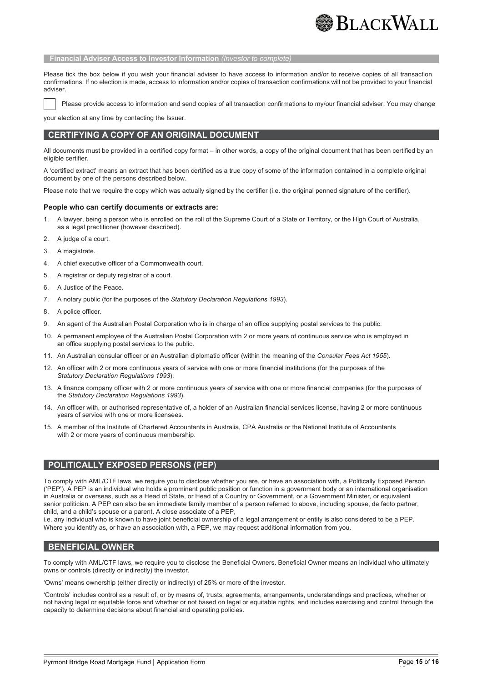

#### **Financial Adviser Access to Investor Information** *(Investor to complete)*

Please tick the box below if you wish your financial adviser to have access to information and/or to receive copies of all transaction confirmations. If no election is made, access to information and/or copies of transaction confirmations will not be provided to your financial adviser.

Please provide access to information and send copies of all transaction confirmations to my/our financial adviser. You may change

your election at any time by contacting the Issuer.

### **CERTIFYING A COPY OF AN ORIGINAL DOCUMENT**

All documents must be provided in a certified copy format – in other words, a copy of the original document that has been certified by an eligible certifier.

A 'certified extract' means an extract that has been certified as a true copy of some of the information contained in a complete original document by one of the persons described below.

Please note that we require the copy which was actually signed by the certifier (i.e. the original penned signature of the certifier).

#### **People who can certify documents or extracts are:**

- 1. A lawyer, being a person who is enrolled on the roll of the Supreme Court of a State or Territory, or the High Court of Australia, as a legal practitioner (however described).
- 2. A judge of a court.
- 3. A magistrate.
- 4. A chief executive officer of a Commonwealth court.
- 5. A registrar or deputy registrar of a court.
- 6. A Justice of the Peace.
- 7. A notary public (for the purposes of the *Statutory Declaration Regulations 1993*).
- 8. A police officer.
- 9. An agent of the Australian Postal Corporation who is in charge of an office supplying postal services to the public.
- 10. A permanent employee of the Australian Postal Corporation with 2 or more years of continuous service who is employed in an office supplying postal services to the public.
- 11. An Australian consular officer or an Australian diplomatic officer (within the meaning of the *Consular Fees Act 1955*).
- 12. An officer with 2 or more continuous years of service with one or more financial institutions (for the purposes of the *Statutory Declaration Regulations 1993*).
- 13. A finance company officer with 2 or more continuous years of service with one or more financial companies (for the purposes of the *Statutory Declaration Regulations 1993*).
- 14. An officer with, or authorised representative of, a holder of an Australian financial services license, having 2 or more continuous years of service with one or more licensees.
- 15. A member of the Institute of Chartered Accountants in Australia, CPA Australia or the National Institute of Accountants with 2 or more years of continuous membership.

## **POLITICALLY EXPOSED PERSONS (PEP)**

To comply with AML/CTF laws, we require you to disclose whether you are, or have an association with, a Politically Exposed Person ('PEP'). A PEP is an individual who holds a prominent public position or function in a government body or an international organisation in Australia or overseas, such as a Head of State, or Head of a Country or Government, or a Government Minister, or equivalent senior politician. A PEP can also be an immediate family member of a person referred to above, including spouse, de facto partner, child, and a child's spouse or a parent. A close associate of a PEP,

i.e. any individual who is known to have joint beneficial ownership of a legal arrangement or entity is also considered to be a PEP. Where you identify as, or have an association with, a PEP, we may request additional information from you.

#### **BENEFICIAL OWNER**

To comply with AML/CTF laws, we require you to disclose the Beneficial Owners. Beneficial Owner means an individual who ultimately owns or controls (directly or indirectly) the investor.

'Owns' means ownership (either directly or indirectly) of 25% or more of the investor.

'Controls' includes control as a result of, or by means of, trusts, agreements, arrangements, understandings and practices, whether or not having legal or equitable force and whether or not based on legal or equitable rights, and includes exercising and control through the capacity to determine decisions about financial and operating policies.